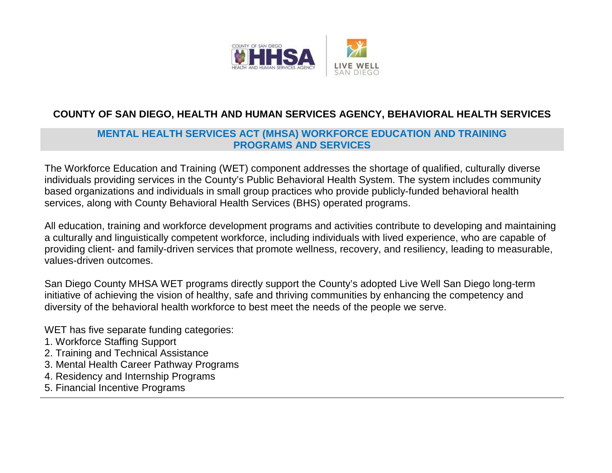

## **COUNTY OF SAN DIEGO, HEALTH AND HUMAN SERVICES AGENCY, BEHAVIORAL HEALTH SERVICES**

## **MENTAL HEALTH SERVICES ACT (MHSA) WORKFORCE EDUCATION AND TRAINING PROGRAMS AND SERVICES**

The Workforce Education and Training (WET) component addresses the shortage of qualified, culturally diverse individuals providing services in the County's Public Behavioral Health System. The system includes community based organizations and individuals in small group practices who provide publicly-funded behavioral health services, along with County Behavioral Health Services (BHS) operated programs.

All education, training and workforce development programs and activities contribute to developing and maintaining a culturally and linguistically competent workforce, including individuals with lived experience, who are capable of providing client- and family-driven services that promote wellness, recovery, and resiliency, leading to measurable, values-driven outcomes.

San Diego County MHSA WET programs directly support the County's adopted Live Well San Diego long-term initiative of achieving the vision of healthy, safe and thriving communities by enhancing the competency and diversity of the behavioral health workforce to best meet the needs of the people we serve.

WET has five separate funding categories:

- 1. Workforce Staffing Support
- 2. Training and Technical Assistance
- 3. Mental Health Career Pathway Programs
- 4. Residency and Internship Programs
- 5. Financial Incentive Programs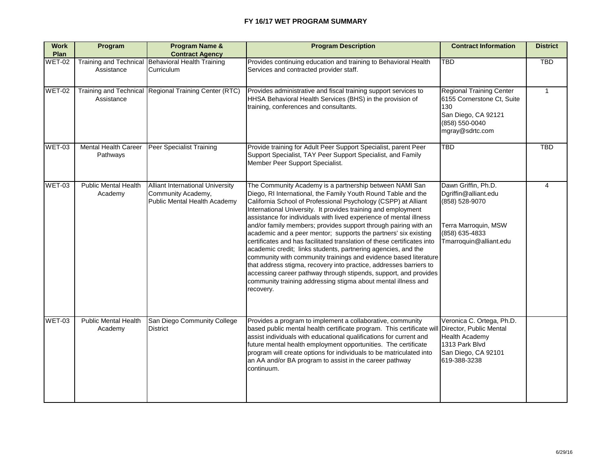## **FY 16/17 WET PROGRAM SUMMARY**

| <b>Work</b><br><b>Plan</b> | Program                                     | <b>Program Name &amp;</b><br><b>Contract Agency</b>                                           | <b>Program Description</b>                                                                                                                                                                                                                                                                                                                                                                                                                                                                                                                                                                                                                                                                                                                                                                                                                                                                                      | <b>Contract Information</b>                                                                                                           | <b>District</b> |
|----------------------------|---------------------------------------------|-----------------------------------------------------------------------------------------------|-----------------------------------------------------------------------------------------------------------------------------------------------------------------------------------------------------------------------------------------------------------------------------------------------------------------------------------------------------------------------------------------------------------------------------------------------------------------------------------------------------------------------------------------------------------------------------------------------------------------------------------------------------------------------------------------------------------------------------------------------------------------------------------------------------------------------------------------------------------------------------------------------------------------|---------------------------------------------------------------------------------------------------------------------------------------|-----------------|
| <b>WET-02</b>              | <b>Training and Technical</b><br>Assistance | <b>Behavioral Health Training</b><br><b>Curriculum</b>                                        | Provides continuing education and training to Behavioral Health<br>Services and contracted provider staff.                                                                                                                                                                                                                                                                                                                                                                                                                                                                                                                                                                                                                                                                                                                                                                                                      | TBD                                                                                                                                   | <b>TBD</b>      |
| WET-02                     | <b>Training and Technical</b><br>Assistance | <b>Regional Training Center (RTC)</b>                                                         | Provides administrative and fiscal training support services to<br>HHSA Behavioral Health Services (BHS) in the provision of<br>training, conferences and consultants.                                                                                                                                                                                                                                                                                                                                                                                                                                                                                                                                                                                                                                                                                                                                          | <b>Regional Training Center</b><br>6155 Cornerstone Ct, Suite<br>130<br>San Diego, CA 92121<br>$(858) 550 - 0040$<br>mgray@sdrtc.com  |                 |
| $WET-03$                   | <b>Mental Health Career</b><br>Pathways     | <b>Peer Specialist Training</b>                                                               | Provide training for Adult Peer Support Specialist, parent Peer<br>Support Specialist, TAY Peer Support Specialist, and Family<br>Member Peer Support Specialist.                                                                                                                                                                                                                                                                                                                                                                                                                                                                                                                                                                                                                                                                                                                                               | <b>TBD</b>                                                                                                                            | <b>TBD</b>      |
| WET-03                     | <b>Public Mental Health</b><br>Academy      | <b>Alliant International University</b><br>Community Academy,<br>Public Mental Health Academy | The Community Academy is a partnership between NAMI San<br>Diego, RI International, the Family Youth Round Table and the<br>California School of Professional Psychology (CSPP) at Alliant<br>International University. It provides training and employment<br>assistance for individuals with lived experience of mental illness<br>and/or family members; provides support through pairing with an<br>academic and a peer mentor; supports the partners' six existing<br>certificates and has facilitated translation of these certificates into<br>academic credit; links students, partnering agencies, and the<br>community with community trainings and evidence based literature<br>that address stigma, recovery into practice, addresses barriers to<br>accessing career pathway through stipends, support, and provides<br>community training addressing stigma about mental illness and<br>recovery. | Dawn Griffin, Ph.D.<br>Dgriffin@alliant.edu<br>$(858) 528 - 9070$<br>Terra Marroquin, MSW<br>(858) 635-4833<br>Tmarroquin@alliant.edu |                 |
| WET-03                     | <b>Public Mental Health</b><br>Academy      | San Diego Community College<br>District                                                       | Provides a program to implement a collaborative, community<br>based public mental health certificate program. This certificate will Director, Public Mental<br>assist individuals with educational qualifications for current and<br>future mental health employment opportunities. The certificate<br>program will create options for individuals to be matriculated into<br>an AA and/or BA program to assist in the career pathway<br> continuum.                                                                                                                                                                                                                                                                                                                                                                                                                                                            | Veronica C. Ortega, Ph.D.<br><b>Health Academy</b><br>1313 Park Blvd<br>San Diego, CA 92101<br>619-388-3238                           |                 |